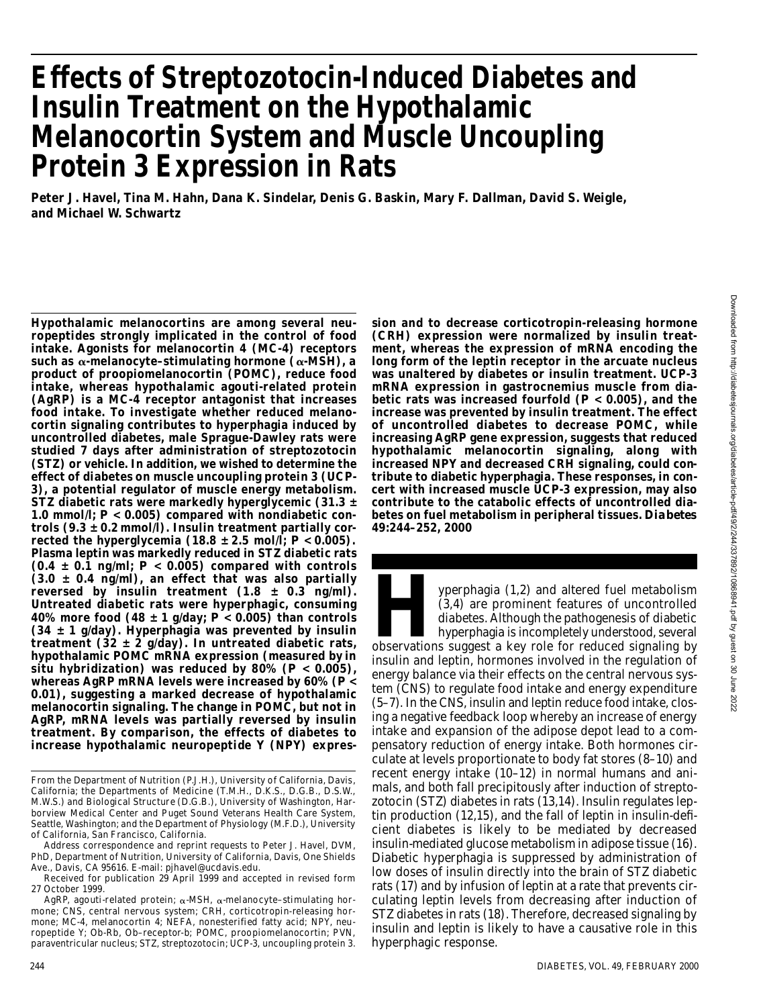# **E ffects of Streptozotocin-Induced Diabetes and Insulin Treatment on the Hypothalamic Melanocortin System and Muscle Uncoupling Protein 3 Expression in Rats**

**Peter J. Havel, Tina M. Hahn, Dana K. Sindelar, Denis G. Baskin, Mary F. Dallman, David S. Weigle, and Michael W. Schwartz**

**Hypothalamic melanocortins are among several neuropeptides strongly implicated in the control of food intake. Agonists for melanocortin 4 (MC-4) receptors**  $s$ uch as  $\alpha$ -melanocyte–stimulating hormone  $(\alpha$ -MSH), a **product of proopiomelanocortin (POMC), reduce food intake, whereas hypothalamic agouti-related protein (AgRP) is a MC-4 receptor antagonist that increases food intake. To investigate whether reduced melanocortin signaling contributes to hyperphagia induced by uncontrolled diabetes, male Sprague-Dawley rats were studied 7 days after administration of streptozotocin (STZ) or vehicle. In addition, we wished to determine the e ffect of diabetes on muscle uncoupling protein 3 (UCP-3), a potential regulator of muscle energy metabolism. STZ diabetic rats were markedly hyperglycemic (31.3 ± 1.0 mmol/l;** *P* **< 0.005) compared with nondiabetic controls (9.3 ± 0.2 mmol/l). Insulin treatment partially corrected the hyperglycemia (18.8**  $\pm$  **2.5 mol/l;**  $P < 0.005$ **). Plasma leptin was markedly reduced in STZ diabetic rats (0.4 ± 0.1 ng/ml;** *P* **< 0.005) compared with controls ( 3 . 0 ± 0.4 ng/ml), an effect that was also partially** reversed by insulin treatment  $(1.8 \pm 0.3 \text{ ng/ml})$ . **Untreated diabetic rats were hyperphagic, consuming 40% more food (48 ± 1 g/day;** *P* **< 0.005) than controls (34 ± 1 g/day). Hyperphagia was prevented by insulin treatment (32 ± 2 g/day). In untreated diabetic rats, hypothalamic POMC mRNA expression (measured by in situ hybridization) was reduced by 80% (***P* **< 0.005), whereas AgRP mRNA levels were increased by 60% (***P* **< 0.01), suggesting a marked decrease of hypothalamic melanocortin signaling. The change in POMC, but not in** AgRP, mRNA levels was partially reversed by insulin **treatment. By comparison, the effects of diabetes to increase hypothalamic neuropeptide Y (NPY) expres-**

Address correspondence and reprint requests to Peter J. Havel, DVM, PhD, Department of Nutrition, University of California, Davis, One Shields Ave., Davis, CA 95616. E-mail: pjhavel@ucdavis.edu.

**sion and to decrease corticotropin-releasing hormone (CRH) expression were normalized by insulin treatment, whereas the expression of mRNA encoding the long form of the leptin receptor in the arcuate nucleus was unaltered by diabetes or insulin treatment. UCP-3 mRNA expression in gastrocnemius muscle from diabetic rats was increased fourfold (***P* **< 0.005), and the increase was prevented by insulin treatment. The effect of uncontrolled diabetes to decrease POMC, while increasing AgRP gene expression, suggests that reduced hypothalamic melanocortin signaling, along with increased NPY and decreased CRH signaling, could contribute to diabetic hyperphagia. These responses, in concert with increased muscle UCP-3 expression, may also contribute to the catabolic effects of uncontrolled dia**betes on fuel metabolism in peripheral tissues. Diabetes **49:244–252, 2000**

yperphagia (1,2) and altered fuel metabolism<br>
(3,4) are prominent features of uncontrolled<br>
diabetes. Although the pathogenesis of diabetic<br>
hyperphagia is incompletely understood, several<br>
observations suggest a key role yperphagia (1,2) and altered fuel metabolism (3,4) are prominent features of uncontrolled diabetes. Although the pathogenesis of diabetic hyperphagia is incompletely understood, several insulin and leptin, hormones involved in the regulation of energy balance via their effects on the central nervous system (CNS) to regulate food intake and energy expenditure (5–7). In the CNS, insulin and leptin reduce food intake, closing a negative feedback loop whereby an increase of energy intake and expansion of the adipose depot lead to a compensatory reduction of energy intake. Both hormones circulate at levels proportionate to body fat stores (8–10) and recent energy intake (10–12) in normal humans and animals, and both fall precipitously after induction of streptozotocin (STZ) diabetes in rats (13,14). Insulin regulates leptin production (12,15), and the fall of leptin in insulin-deficient diabetes is likely to be mediated by decreased insulin-mediated glucose metabolism in adipose tissue (16). Diabetic hyperphagia is suppressed by administration of low doses of insulin directly into the brain of STZ diabetic rats (17) and by infusion of leptin at a rate that prevents circulating leptin levels from decreasing after induction of STZ diabetes in rats (18). Therefore, decreased signaling by insulin and leptin is likely to have a causative role in this hyperphagic response.

From the Department of Nutrition (P.J.H.), University of California, Davis, California; the Departments of Medicine (T.M.H., D.K.S., D.G.B., D.S.W. , M.W.S.) and Biological Structure (D.G.B.), University of Washington, Harborview Medical Center and Puget Sound Veterans Health Care System, Seattle, Washington; and the Department of Physiology (M.F.D.), University of California, San Francisco, California.

Received for publication 29 April 1999 and accepted in revised form 27 October 1999.

AgRP, agouti-related protein;  $\alpha$ -MSH,  $\alpha$ -melanocyte–stimulating hormone; CNS, central nervous system; CRH, corticotropin-releasing hormone; MC-4, melanocortin 4; NEFA, nonesterified fatty acid; NPY, neuropeptide Y; Ob-Rb, Ob–receptor-b; POMC, proopiomelanocortin; PVN, paraventricular nucleus; STZ, streptozotocin; UCP-3, uncoupling protein 3.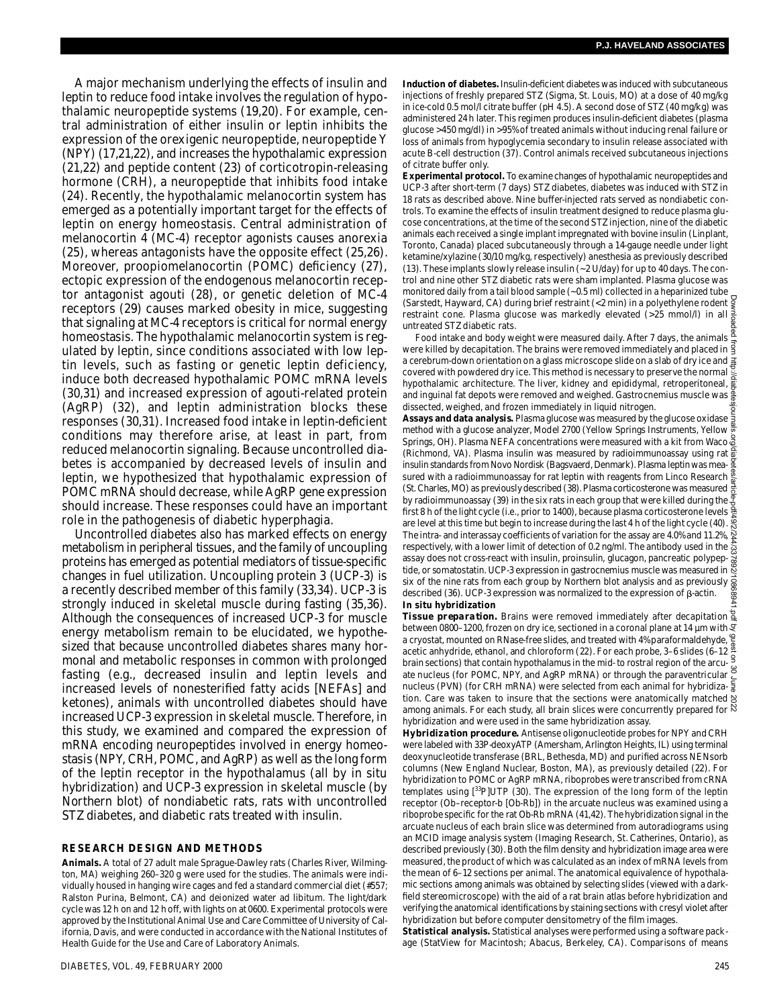A major mechanism underlying the effects of insulin and leptin to reduce food intake involves the regulation of hypothalamic neuropeptide systems (19,20). For example, central administration of either insulin or leptin inhibits the expression of the orexigenic neuropeptide, neuropeptide Y (NPY) (17,21,22), and increases the hypothalamic expression (21,22) and peptide content (23) of corticotropin-releasing hormone (CRH), a neuropeptide that inhibits food intake (24). Recently, the hypothalamic melanocortin system has emerged as a potentially important target for the effects of leptin on energy homeostasis. Central administration of melanocortin 4 (MC-4) receptor agonists causes anorexia (25), whereas antagonists have the opposite effect (25,26). Moreover, proopiomelanocortin (POMC) deficiency (27), ectopic expression of the endogenous melanocortin receptor antagonist agouti (28), or genetic deletion of MC-4 receptors (29) causes marked obesity in mice, suggesting that signaling at MC-4 receptors is critical for normal energy homeostasis. The hypothalamic melanocortin system is regulated by leptin, since conditions associated with low leptin levels, such as fasting or genetic leptin deficiency, induce both decreased hypothalamic POMC mRNA levels (30,31) and increased expression of agouti-related protein (AgRP) (32), and leptin administration blocks these responses (30,31). Increased food intake in leptin-deficient conditions may therefore arise, at least in part, from reduced melanocortin signaling. Because uncontrolled diabetes is accompanied by decreased levels of insulin and leptin, we hypothesized that hypothalamic expression of POMC mRNA should decrease, while AgRP gene expression should increase. These responses could have an important role in the pathogenesis of diabetic hyperphagia.

Uncontrolled diabetes also has marked effects on energy metabolism in peripheral tissues, and the family of uncoupling proteins has emerged as potential mediators of tissue-specific changes in fuel utilization. Uncoupling protein 3 (UCP-3) is a recently described member of this family (33,34). UCP-3 is strongly induced in skeletal muscle during fasting (35,36). Although the consequences of increased UCP-3 for muscle energy metabolism remain to be elucidated, we hypothesized that because uncontrolled diabetes shares many hormonal and metabolic responses in common with prolonged fasting (e.g., decreased insulin and leptin levels and increased levels of nonesterified fatty acids [NEFAs] and ketones), animals with uncontrolled diabetes should have increased UCP-3 expression in skeletal muscle. Therefore, in this study, we examined and compared the expression of mRNA encoding neuropeptides involved in energy homeostasis (NPY, CRH, POMC, and AgRP) as well as the long form of the leptin receptor in the hypothalamus (all by in situ hybridization) and UCP-3 expression in skeletal muscle (by Northern blot) of nondiabetic rats, rats with uncontrolled STZ diabetes, and diabetic rats treated with insulin.

#### **RESEARCH DESIGN AND METHODS**

Animals. A total of 27 adult male Sprague-Dawley rats (Charles River, Wilmington, MA) weighing 260–320 g were used for the studies. The animals were individually housed in hanging wire cages and fed a standard commercial diet (#557; Ralston Purina, Belmont, CA) and deionized water ad libitum. The light/dark cycle was 12 h on and 12 h off, with lights on at 0600. Experimental protocols were approved by the Institutional Animal Use and Care Committee of University of California, Davis, and were conducted in accordance with the National Institutes of Health Guide for the Use and Care of Laboratory Animals.

Induction of diabetes. Insulin-deficient diabetes was induced with subcutaneous injections of freshly prepared STZ (Sigma, St. Louis, MO) at a dose of 40 mg/kg in ice-cold 0.5 mol/l citrate buffer (pH 4.5). A second dose of STZ (40 mg/kg) was administered 24 h later. This regimen produces insulin-deficient diabetes (plasma glucose >450 mg/dl) in >95% of treated animals without inducing renal failure or loss of animals from hypoglycemia secondary to insulin release associated with acute B-cell destruction (37). Control animals received subcutaneous injections of citrate buffer only.

**Experimental protocol.** To examine changes of hypothalamic neuropeptides and UCP-3 after short-term (7 days) STZ diabetes, diabetes was induced with STZ in 18 rats as described above. Nine buffer-injected rats served as nondiabetic controls. To examine the effects of insulin treatment designed to reduce plasma glucose concentrations, at the time of the second STZ injection, nine of the diabetic animals each received a single implant impregnated with bovine insulin (Linplant, Toronto, Canada) placed subcutaneously through a 14-gauge needle under light ketamine/xylazine (30/10 mg/kg, respectively) anesthesia as previously described (13). These implants slowly release insulin (~2 U/day) for up to 40 days. The control and nine other STZ diabetic rats were sham implanted. Plasma glucose was monitored daily from a tail blood sample (~0.5 ml) collected in a heparinized tube (Sarstedt, Hayward, CA) during brief restraint (<2 min) in a polyethylene rodent restraint cone. Plasma glucose was markedly elevated (>25 mmol/l) in all untreated STZ diabetic rats.

Food intake and body weight were measured daily. After 7 days, the animals were killed by decapitation. The brains were removed immediately and placed in a cerebrum-down orientation on a glass microscope slide on a slab of dry ice and covered with powdered dry ice. This method is necessary to preserve the normal hypothalamic architecture. The liver, kidney and epididymal, retroperitoneal,  $\frac{1}{8}$ and inguinal fat depots were removed and weighed. Gastrocnemius muscle was dissected, weighed, and frozen immediately in liquid nitrogen.

**Assays and data analysis.** Plasma glucose was measured by the glucose oxidase method with a glucose analyzer, Model 2700 (Yellow Springs Instruments, Yellow Springs, OH). Plasma NEFA concentrations were measured with a kit from Waco (Richmond, VA). Plasma insulin was measured by radioimmunoassay using rat  $\frac{a}{b}$ insulin standards from Novo Nordisk (Bagsvaerd, Denmark). Plasma leptin was measured with a radioimmunoassay for rat leptin with reagents from Linco Research (St. Charles, MO) as previously described (38). Plasma corticosterone was measured by radioimmunoassay (39) in the six rats in each group that were killed during the first 8 h of the light cycle (i.e., prior to 1400), because plasma corticosterone levels are level at this time but begin to increase during the last 4 h of the light cycle (40). The intra- and interassay coefficients of variation for the assay are 4.0% and 11.2%, respectively, with a lower limit of detection of 0.2 ng/ml. The antibody used in the assay does not cross-react with insulin, proinsulin, glucagon, pancreatic polypeptide, or somatostatin. UCP-3 expression in gastrocnemius muscle was measured in six of the nine rats from each group by Northern blot analysis and as previously described (36). UCP-3 expression was normalized to the expression of  $\beta$ -actin. **In situ hybridization** Downloaded from http://diabetesjournals.org/diabetes/article-pdf/49/2/244/337892/10868941.pdf by guest on 30 June 2022

*Tissue preparation.* Brains were removed immediately after decapitation between 0800–1200, frozen on dry ice, sectioned in a coronal plane at 14 um with  $\overline{\mathfrak{S}}$ a cryostat, mounted on RNase-free slides, and treated with 4% paraformaldehyde, acetic anhydride, ethanol, and chloroform (22). For each probe, 3–6 slides (6–12 brain sections) that contain hypothalamus in the mid- to rostral region of the arcuate nucleus (for POMC, NPY, and AgRP mRNA) or through the paraventricular nucleus (PVN) (for CRH mRNA) were selected from each animal for hybridization. Care was taken to insure that the sections were anatomically matched among animals. For each study, all brain slices were concurrently prepared for hybridization and were used in the same hybridization assay.

*Hybridization procedure.* Antisense oligonucleotide probes for NPY and CRH were labeled with 33P-deoxyATP (Amersham, Arlington Heights, IL) using terminal deoxynucleotide transferase (BRL, Bethesda, MD) and purified across NENsorb columns (New England Nuclear, Boston, MA), as previously detailed (22). For hybridization to POMC or AgRP mRNA, riboprobes were transcribed from cRNA templates using  $[^{33}P]$ UTP (30). The expression of the long form of the leptin receptor (Ob–receptor-b [Ob-Rb]) in the arcuate nucleus was examined using a riboprobe specific for the rat Ob-Rb mRNA (41,42). The hybridization signal in the arcuate nucleus of each brain slice was determined from autoradiograms using an MCID image analysis system (Imaging Research, St. Catherines, Ontario), as described previously (30). Both the film density and hybridization image area were measured, the product of which was calculated as an index of mRNA levels from the mean of 6–12 sections per animal. The anatomical equivalence of hypothalamic sections among animals was obtained by selecting slides (viewed with a darkfield stereomicroscope) with the aid of a rat brain atlas before hybridization and verifying the anatomical identifications by staining sections with cresyl violet after hybridization but before computer densitometry of the film images.

**Statistical analysis.** Statistical analyses were performed using a software package (StatView for Macintosh; Abacus, Berkeley, CA). Comparisons of means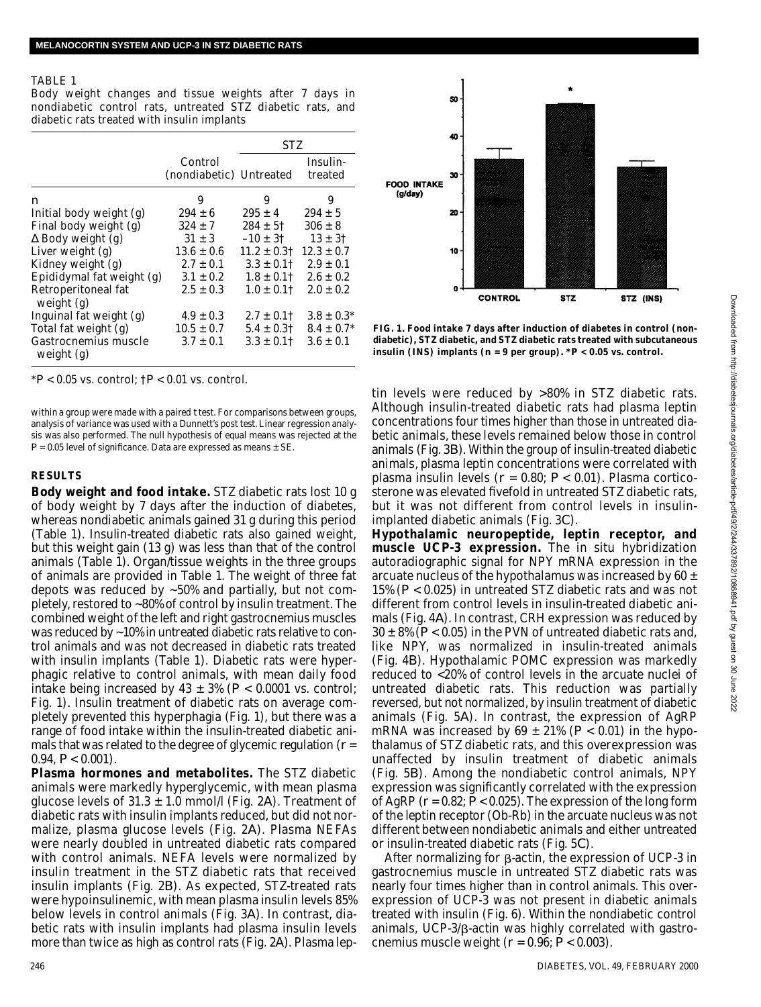#### **TABLE 1**

Body weight changes and tissue weights after 7 days in nondiabetic control rats, untreated STZ diabetic rats, and diabetic rats treated with insulin implants

|                                    |                                    | STZ             |                     |
|------------------------------------|------------------------------------|-----------------|---------------------|
|                                    | Control<br>(nondiabetic) Untreated |                 | Insulin-<br>treated |
| n                                  | 9                                  | 9               | 9                   |
| Initial body weight (g)            | $294 + 6$                          | $295 + 4$       | $294 + 5$           |
| Final body weight (g)              | $324 \pm 7$                        | $284 \pm 51$    | $306 + 8$           |
| Body weight (g)                    | $31 + 3$                           | $-10 \pm 31$    | $13 \pm 31$         |
| Liver weight (g)                   | $13.6 + 0.6$                       | $11.2 \pm 0.31$ | $12.3 + 0.7$        |
| Kidney weight (q)                  | $2.7 + 0.1$                        | $3.3 \pm 0.11$  | $2.9 + 0.1$         |
| Epididymal fat weight (g)          | $3.1 + 0.2$                        | $1.8 \pm 0.11$  | $2.6 \pm 0.2$       |
| Retroperitoneal fat<br>weight (g)  | $2.5 \pm 0.3$                      | $1.0 \pm 0.11$  | $2.0 + 0.2$         |
| Inguinal fat weight (g)            | $4.9 \pm 0.3$                      | $2.7 \pm 0.11$  | $3.8 \pm 0.3*$      |
| Total fat weight (g)               | $10.5 \pm 0.7$                     | $5.4 \pm 0.31$  | $8.4 \pm 0.7^*$     |
| Gastrocnemius muscle<br>weight (g) | $3.7 + 0.1$                        | $3.3 \pm 0.11$  | $3.6 \pm 0.1$       |

\**P* < 0.05 vs. control; †*P* < 0.01 vs. control.

within a group were made with a paired *t* test. For comparisons between groups, analysis of variance was used with a Dunnett's post test. Linear regression analysis was also performed. The null hypothesis of equal means was rejected at the *P* = 0.05 level of significance. Data are expressed as means ± SE.

#### **R E S U LT S**

**Body weight and food intake.** STZ diabetic rats lost 10 g of body weight by 7 days after the induction of diabetes, whereas nondiabetic animals gained 31 g during this period (Table 1). Insulin-treated diabetic rats also gained weight, but this weight gain (13 g) was less than that of the control animals (Table 1). Organ/tissue weights in the three groups of animals are provided in Table 1. The weight of three fat depots was reduced by ~50% and partially, but not completely, restored to  $\sim$ 80% of control by insulin treatment. The combined weight of the left and right gastrocnemius muscles was reduced by ~10% in untreated diabetic rats relative to control animals and was not decreased in diabetic rats treated with insulin implants (Table 1). Diabetic rats were hyperphagic relative to control animals, with mean daily food intake being increased by  $43 \pm 3\%$  ( $P < 0.0001$  vs. control; Fig. 1). Insulin treatment of diabetic rats on average completely prevented this hyperphagia (Fig. 1), but there was a range of food intake within the insulin-treated diabetic animals that was related to the degree of glycemic regulation (*r* = 0.94,  $P < 0.001$ ).

**Plasma hormones and metabolites.** The STZ diabetic animals were markedly hyperglycemic, with mean plasma glucose levels of 31.3 ± 1.0 mmol/l (Fig. 2*A*). Treatment of diabetic rats with insulin implants reduced, but did not normalize, plasma glucose levels (Fig. 2A). Plasma NEFAs were nearly doubled in untreated diabetic rats compared with control animals. NEFA levels were normalized by insulin treatment in the STZ diabetic rats that received insulin implants (Fig. 2*B*). As expected, STZ-treated rats were hypoinsulinemic, with mean plasma insulin levels 85% below levels in control animals (Fig. 3*A*). In contrast, diabetic rats with insulin implants had plasma insulin levels more than twice as high as control rats (Fig. 2*A*). Plasma lep-



**FIG. 1. Food intake 7 days after induction of diabetes in control (nondiabetic), STZ diabetic, and STZ diabetic rats treated with subcutaneous insulin (INS) implants (***n* **= 9 per group). \****P* **< 0.05 vs. control.**

tin levels were reduced by >80% in STZ diabetic rats. Although insulin-treated diabetic rats had plasma leptin concentrations four times higher than those in untreated diabetic animals, these levels remained below those in control animals (Fig. 3*B*). Within the group of insulin-treated diabetic animals, plasma leptin concentrations were correlated with plasma insulin levels (*r* = 0.80; *P* < 0.01). Plasma corticosterone was elevated fivefold in untreated STZ diabetic rats, but it was not different from control levels in insulinimplanted diabetic animals (Fig. 3*C*).

**Hypothalamic neuropeptide, leptin receptor, and** muscle UCP-3 expression. The in situ hybridization autoradiographic signal for NPY mRNA expression in the arcuate nucleus of the hypothalamus was increased by 60  $\pm$ 15% (*P* < 0.025) in untreated STZ diabetic rats and was not different from control levels in insulin-treated diabetic animals (Fig. 4*A*). In contrast, CRH expression was reduced by  $30 \pm 8\%$  ( $P < 0.05$ ) in the PVN of untreated diabetic rats and, like NPY, was normalized in insulin-treated animals (Fig. 4B). Hypothalamic POMC expression was markedly reduced to <20% of control levels in the arcuate nuclei of untreated diabetic rats. This reduction was partially reversed, but not normalized, by insulin treatment of diabetic animals (Fig. 5*A*). In contrast, the expression of AgRP mRNA was increased by  $69 \pm 21\%$  ( $P < 0.01$ ) in the hypothalamus of STZ diabetic rats, and this overexpression was unaffected by insulin treatment of diabetic animals (Fig. 5B). Among the nondiabetic control animals, NPY expression was significantly correlated with the expression of AgRP  $(r = 0.82; P < 0.025)$ . The expression of the long form of the leptin receptor (Ob-Rb) in the arcuate nucleus was not different between nondiabetic animals and either untreated or insulin-treated diabetic rats (Fig. 5*C*) .

After normalizing for  $\beta$ -actin, the expression of UCP-3 in gastrocnemius muscle in untreated STZ diabetic rats was nearly four times higher than in control animals. This overexpression of UCP-3 was not present in diabetic animals treated with insulin (Fig. 6). Within the nondiabetic control animals, UCP- $3/3$ -actin was highly correlated with gastrocnemius muscle weight (*r* = 0.96; *P* < 0.003).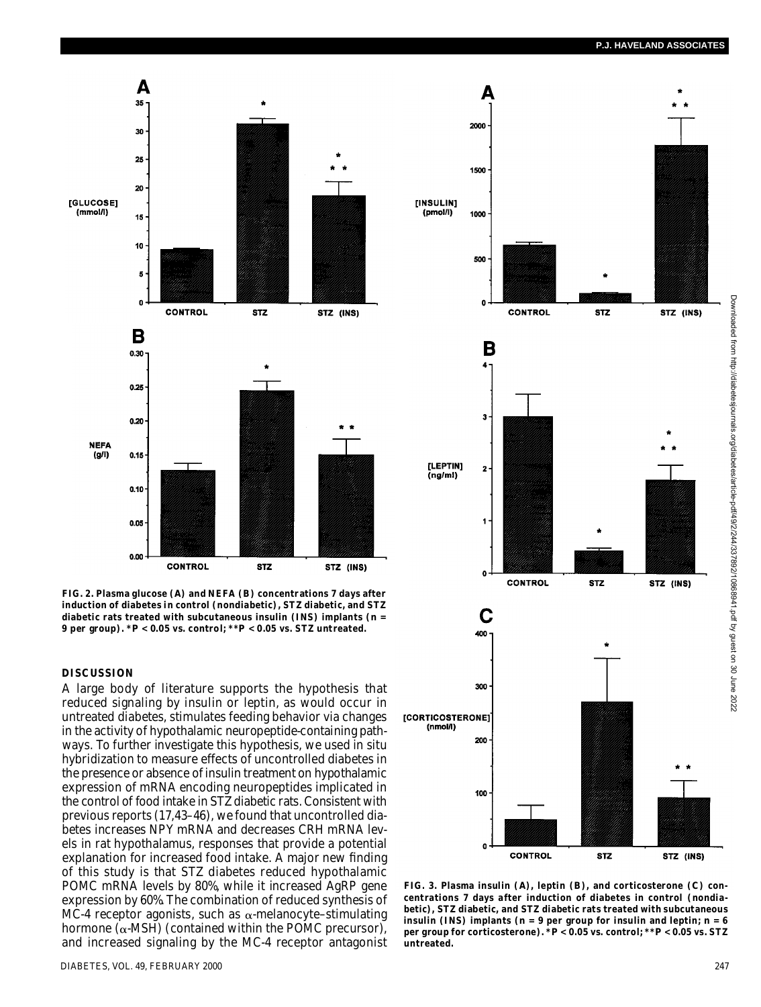

**FIG. 2. Plasma glucose (***A***) and NEFA (***B***) concentrations 7 days after induction of diabetes in control (nondiabetic), STZ diabetic, and STZ diabetic rats treated with subcutaneous insulin (INS) implants (***n* **= 9 per group). \****P* **< 0.05 vs. control; \*\****P* **< 0.05 vs. STZ untreated.**

### **DISCUSSION**

A large body of literature supports the hypothesis that reduced signaling by insulin or leptin, as would occur in untreated diabetes, stimulates feeding behavior via changes in the activity of hypothalamic neuropeptide-containing pathways. To further investigate this hypothesis, we used in situ hybridization to measure effects of uncontrolled diabetes in the presence or absence of insulin treatment on hypothalamic expression of mRNA encoding neuropeptides implicated in the control of food intake in STZ diabetic rats. Consistent with previous reports (17,43–46), we found that uncontrolled diabetes increases NPY mRNA and decreases CRH mRNA levels in rat hypothalamus, responses that provide a potential explanation for increased food intake. A major new finding of this study is that STZ diabetes reduced hypothalamic POMC mRNA levels by 80%, while it increased AgRP gene expression by 60%. The combination of reduced synthesis of MC-4 receptor agonists, such as  $\alpha$ -melanocyte-stimulating hormone ( $\alpha$ -MSH) (contained within the POMC precursor), and increased signaling by the MC-4 receptor antagonist



**FIG. 3. Plasma insulin (***A***), leptin (***B***), and corticosterone (***C***) concentrations 7 days after induction of diabetes in control (nondiabetic), STZ diabetic, and STZ diabetic rats treated with subcutaneous insulin (INS) implants (***n* **= 9 per group for insulin and leptin;** *n* **= 6 per group for corticosterone). \****P* **< 0.05 vs. control; \*\****P* **< 0.05 vs. STZ** untreated.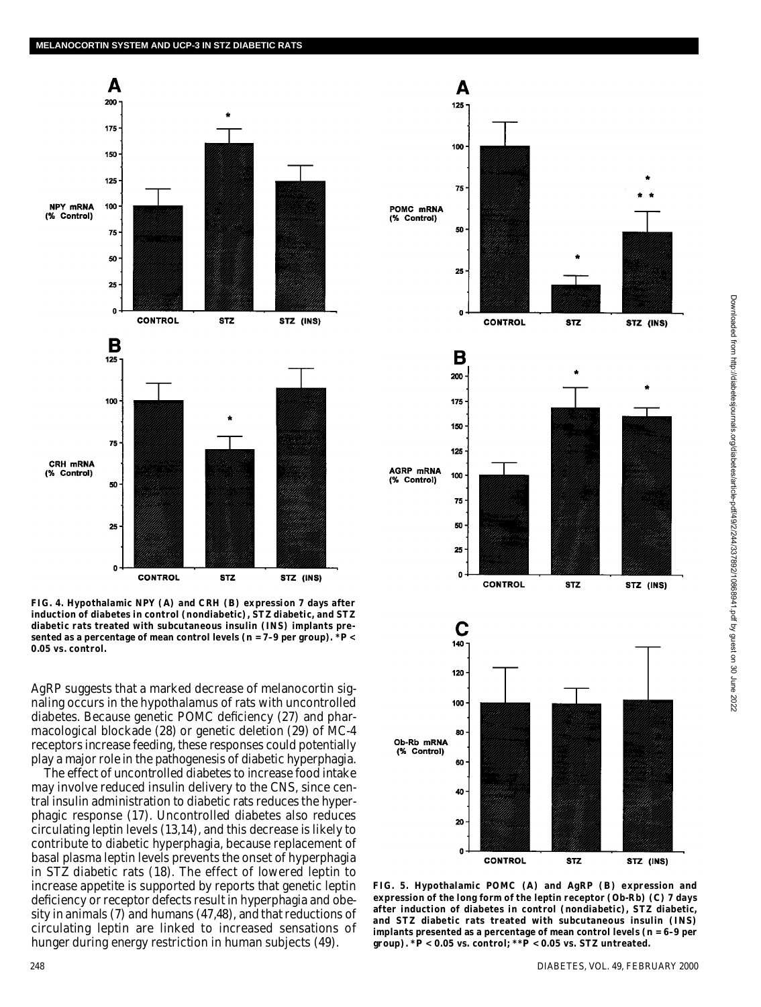

**FIG. 4. Hypothalamic NPY (***A***) and CRH (***B***) expression 7 days after induction of diabetes in control (nondiabetic), STZ diabetic, and STZ diabetic rats treated with subcutaneous insulin (INS) implants presented as a percentage of mean control levels (***n* **= 7–9 per group). \****P* **< 0.05 vs. control.**

AgRP suggests that a marked decrease of melanocortin signaling occurs in the hypothalamus of rats with uncontrolled diabetes. Because genetic POMC deficiency (27) and pharmacological blockade (28) or genetic deletion (29) of MC-4 receptors increase feeding, these responses could potentially play a major role in the pathogenesis of diabetic hyperphagia.

The effect of uncontrolled diabetes to increase food intake may involve reduced insulin delivery to the CNS, since central insulin administration to diabetic rats reduces the hyperphagic response (17). Uncontrolled diabetes also reduces circulating leptin levels (13,14), and this decrease is likely to contribute to diabetic hyperphagia, because replacement of basal plasma leptin levels prevents the onset of hyperphagia in STZ diabetic rats (18). The effect of lowered leptin to increase appetite is supported by reports that genetic leptin deficiency or receptor defects result in hyperphagia and obesity in animals (7) and humans (47,48), and that reductions of circulating leptin are linked to increased sensations of hunger during energy restriction in human subjects (49).



**FIG. 5. Hypothalamic POMC (***A***) and AgRP (***B***) expression and expression of the long form of the leptin receptor (Ob-Rb) (***C***) 7 days after induction of diabetes in control (nondiabetic), STZ diabetic, and STZ diabetic rats treated with subcutaneous insulin (INS) implants presented as a percentage of mean control levels (***n* **= 6–9 per group). \****P* **< 0.05 vs. control; \*\****P* **< 0.05 vs. STZ untreated.**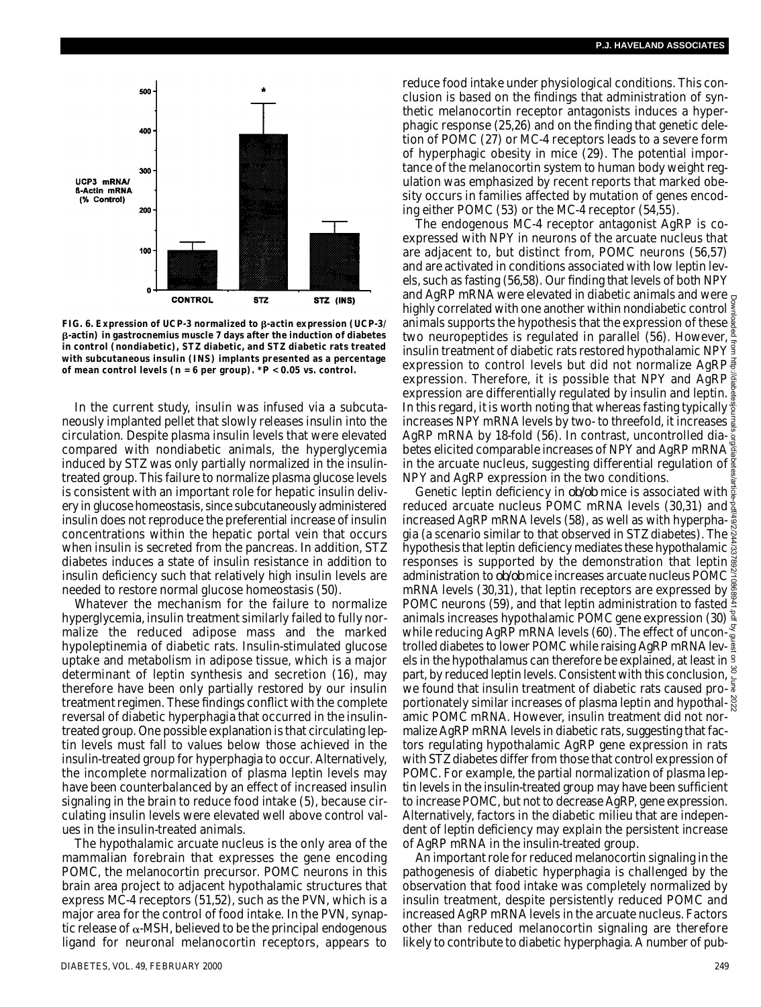

FIG. 6. Expression of UCP-3 normalized to  $\beta$ -actin expression (UCP-3/ **-actin) in gastrocnemius muscle 7 days after the induction of diabetes in control (nondiabetic), STZ diabetic, and STZ diabetic rats treated with subcutaneous insulin (INS) implants presented as a percentage of mean control levels (***n* **= 6 per group). \****P* **< 0.05 vs. control.**

In the current study, insulin was infused via a subcutaneously implanted pellet that slowly releases insulin into the circulation. Despite plasma insulin levels that were elevated compared with nondiabetic animals, the hyperglycemia induced by STZ was only partially normalized in the insulintreated group. This failure to normalize plasma glucose levels is consistent with an important role for hepatic insulin delivery in glucose homeostasis, since subcutaneously administered insulin does not reproduce the preferential increase of insulin concentrations within the hepatic portal vein that occurs when insulin is secreted from the pancreas. In addition, STZ diabetes induces a state of insulin resistance in addition to insulin deficiency such that relatively high insulin levels are needed to restore normal glucose homeostasis (50).

Whatever the mechanism for the failure to normalize hyperglycemia, insulin treatment similarly failed to fully normalize the reduced adipose mass and the marked hypoleptinemia of diabetic rats. Insulin-stimulated glucose uptake and metabolism in adipose tissue, which is a major determinant of leptin synthesis and secretion (16), may therefore have been only partially restored by our insulin treatment regimen. These findings conflict with the complete reversal of diabetic hyperphagia that occurred in the insulintreated group. One possible explanation is that circulating leptin levels must fall to values below those achieved in the insulin-treated group for hyperphagia to occur. Alternatively, the incomplete normalization of plasma leptin levels may have been counterbalanced by an effect of increased insulin signaling in the brain to reduce food intake (5), because circulating insulin levels were elevated well above control values in the insulin-treated animals.

The hypothalamic arcuate nucleus is the only area of the mammalian forebrain that expresses the gene encoding POMC, the melanocortin precursor. POMC neurons in this brain area project to adjacent hypothalamic structures that express MC-4 receptors (51,52), such as the PVN, which is a major area for the control of food intake. In the PVN, synaptic release of  $\alpha$ -MSH, believed to be the principal endogenous ligand for neuronal melanocortin receptors, appears to reduce food intake under physiological conditions. This conclusion is based on the findings that administration of synthetic melanocortin receptor antagonists induces a hyperphagic response (25,26) and on the finding that genetic deletion of POMC (27) or MC-4 receptors leads to a severe form of hyperphagic obesity in mice (29). The potential importance of the melanocortin system to human body weight regulation was emphasized by recent reports that marked obesity occurs in families affected by mutation of genes encoding either POMC (53) or the MC-4 receptor (54,55).

The endogenous MC-4 receptor antagonist AgRP is coexpressed with NPY in neurons of the arcuate nucleus that are adjacent to, but distinct from, POMC neurons (56,57) and are activated in conditions associated with low leptin levels, such as fasting (56,58). Our finding that levels of both NPY and AgRP mRNA were elevated in diabetic animals and were  $g$ highly correlated with one another within nondiabetic control animals supports the hypothesis that the expression of these two neuropeptides is regulated in parallel (56). However, insulin treatment of diabetic rats restored hypothalamic NPY  $\frac{3}{5}$ expression to control levels but did not normalize AgRP expression. Therefore, it is possible that NPY and AgRP<sup>3</sup> expression are differentially regulated by insulin and leptin. In this regard, it is worth noting that whereas fasting typically  $\frac{3}{2}$ increases NPY mRNA levels by two- to threefold, it increases  $\frac{1}{8}$ AqRP mRNA by 18-fold (56). In contrast, uncontrolled diabetes elicited comparable increases of NPY and AgRP mRNA in the arcuate nucleus, suggesting differential regulation of NPY and AgRP expression in the two conditions. Downloaded from http://diabetesjournals.org/diabetes/article-pdf/49/2/244/337892/10868941.pdf by guest on 30 June 2022

Genetic leptin deficiency in ob/ob mice is associated with  $\frac{2}{8}$ reduced arcuate nucleus POMC mRNA levels (30,31) and increased AgRP mRNA levels (58), as well as with hyperphagia (a scenario similar to that observed in STZ diabetes). The  $\frac{8}{9}$ hypothesis that leptin deficiency mediates these hypothalamic  $\frac{3}{9}$ responses is supported by the demonstration that leptin  $\frac{3}{8}$ administration to ob/ob mice increases arcuate nucleus POMC mRNA levels (30,31), that leptin receptors are expressed by  $\frac{8}{90}$ POMC neurons (59), and that leptin administration to fasted  $\frac{3}{2}$ animals increases hypothalamic POMC gene expression (30) while reducing AgRP mRNA levels (60). The effect of uncontrolled diabetes to lower POMC while raising AgRP mRNA lev-  $\frac{\pi}{2}$ els in the hypothalamus can therefore be explained, at least in part, by reduced leptin levels. Consistent with this conclusion,  $\tilde{e}$ we found that insulin treatment of diabetic rats caused proportionately similar increases of plasma leptin and hypothalamic POMC mRNA. However, insulin treatment did not normalize AgRP mRNA levels in diabetic rats, suggesting that factors regulating hypothalamic AgRP gene expression in rats with STZ diabetes differ from those that control expression of POMC. For example, the partial normalization of plasma leptin levels in the insulin-treated group may have been sufficient to increase POMC, but not to decrease AgRP, gene expression. Alternatively, factors in the diabetic milieu that are independent of leptin deficiency may explain the persistent increase of AgRP mRNA in the insulin-treated group.

An important role for reduced melanocortin signaling in the pathogenesis of diabetic hyperphagia is challenged by the observation that food intake was completely normalized by insulin treatment, despite persistently reduced POMC and increased AgRP mRNA levels in the arcuate nucleus. Factors other than reduced melanocortin signaling are therefore likely to contribute to diabetic hyperphagia. A number of pub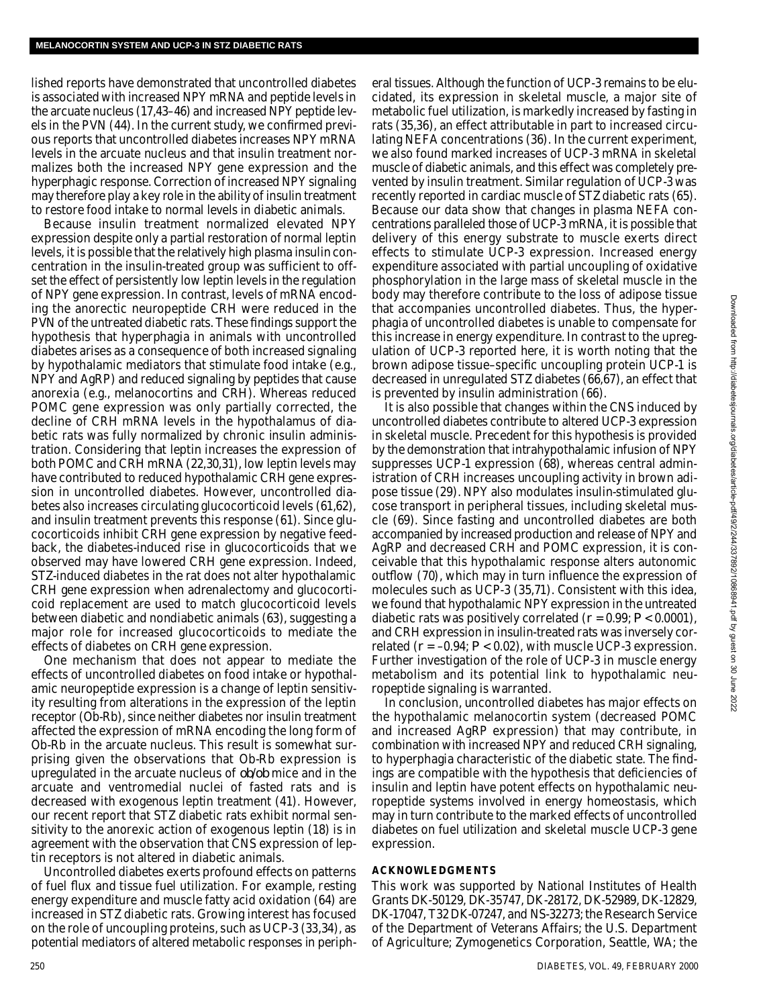lished reports have demonstrated that uncontrolled diabetes is associated with increased NPY mRNA and peptide levels in the arcuate nucleus (17,43–46) and increased NPY peptide levels in the PVN (44). In the current study, we confirmed previous reports that uncontrolled diabetes increases NPY mRNA levels in the arcuate nucleus and that insulin treatment normalizes both the increased NPY gene expression and the hyperphagic response. Correction of increased NPY signaling may therefore play a key role in the ability of insulin treatment to restore food intake to normal levels in diabetic animals.

Because insulin treatment normalized elevated NPY expression despite only a partial restoration of normal leptin levels, it is possible that the relatively high plasma insulin concentration in the insulin-treated group was sufficient to offset the effect of persistently low leptin levels in the regulation of NPY gene expression. In contrast, levels of mRNA encoding the anorectic neuropeptide CRH were reduced in the PVN of the untreated diabetic rats. These findings support the hypothesis that hyperphagia in animals with uncontrolled diabetes arises as a consequence of both increased signaling by hypothalamic mediators that stimulate food intake (e.g., NPY and AgRP) and reduced signaling by peptides that cause anorexia (e.g., melanocortins and CRH). Whereas reduced POMC gene expression was only partially corrected, the decline of CRH mRNA levels in the hypothalamus of diabetic rats was fully normalized by chronic insulin administration. Considering that leptin increases the expression of both POMC and CRH mRNA (22,30,31), low leptin levels may have contributed to reduced hypothalamic CRH gene expression in uncontrolled diabetes. However, uncontrolled diabetes also increases circulating glucocorticoid levels (61,62), and insulin treatment prevents this response (61). Since glucocorticoids inhibit CRH gene expression by negative feedback, the diabetes-induced rise in glucocorticoids that we observed may have lowered CRH gene expression. Indeed, STZ-induced diabetes in the rat does not alter hypothalamic CRH gene expression when adrenalectomy and glucocorticoid replacement are used to match glucocorticoid levels between diabetic and nondiabetic animals (63), suggesting a major role for increased glucocorticoids to mediate the effects of diabetes on CRH gene expression.

One mechanism that does not appear to mediate the effects of uncontrolled diabetes on food intake or hypothalamic neuropeptide expression is a change of leptin sensitivity resulting from alterations in the expression of the leptin receptor (Ob-Rb), since neither diabetes nor insulin treatment affected the expression of mRNA encoding the long form of Ob-Rb in the arcuate nucleus. This result is somewhat surprising given the observations that Ob-Rb expression is upregulated in the arcuate nucleus of ob/ob mice and in the arcuate and ventromedial nuclei of fasted rats and is decreased with exogenous leptin treatment (41). However, our recent report that STZ diabetic rats exhibit normal sensitivity to the anorexic action of exogenous leptin (18) is in agreement with the observation that CNS expression of leptin receptors is not altered in diabetic animals.

Uncontrolled diabetes exerts profound effects on patterns of fuel flux and tissue fuel utilization. For example, resting energy expenditure and muscle fatty acid oxidation (64) are increased in STZ diabetic rats. Growing interest has focused on the role of uncoupling proteins, such as UCP-3 (33,34), as potential mediators of altered metabolic responses in periph-

eral tissues. Although the function of UCP-3 remains to be elucidated, its expression in skeletal muscle, a major site of metabolic fuel utilization, is markedly increased by fasting in rats (35,36), an effect attributable in part to increased circulating NEFA concentrations (36). In the current experiment, we also found marked increases of UCP-3 mRNA in skeletal muscle of diabetic animals, and this effect was completely prevented by insulin treatment. Similar regulation of UCP-3 was recently reported in cardiac muscle of STZ diabetic rats (65). Because our data show that changes in plasma NEFA concentrations paralleled those of UCP-3 mRNA, it is possible that delivery of this energy substrate to muscle exerts direct effects to stimulate UCP-3 expression. Increased energy expenditure associated with partial uncoupling of oxidative phosphorylation in the large mass of skeletal muscle in the body may therefore contribute to the loss of adipose tissue that accompanies uncontrolled diabetes. Thus, the hyperphagia of uncontrolled diabetes is unable to compensate for this increase in energy expenditure. In contrast to the upregulation of UCP-3 reported here, it is worth noting that the brown adipose tissue–specific uncoupling protein UCP-1 is decreased in unregulated STZ diabetes (66,67), an effect that is prevented by insulin administration (66).

It is also possible that changes within the CNS induced by uncontrolled diabetes contribute to altered UCP-3 expression in skeletal muscle. Precedent for this hypothesis is provided by the demonstration that intrahypothalamic infusion of NPY suppresses UCP-1 expression (68), whereas central administration of CRH increases uncoupling activity in brown adipose tissue (29). NPY also modulates insulin-stimulated glucose transport in peripheral tissues, including skeletal muscle (69). Since fasting and uncontrolled diabetes are both accompanied by increased production and release of NPY and AgRP and decreased CRH and POMC expression, it is conceivable that this hypothalamic response alters autonomic outflow (70), which may in turn influence the expression of molecules such as UCP-3 (35,71). Consistent with this idea, we found that hypothalamic NPY expression in the untreated diabetic rats was positively correlated  $(r = 0.99; P < 0.0001)$ , and CRH expression in insulin-treated rats was inversely correlated  $(r = -0.94; P < 0.02)$ , with muscle UCP-3 expression. Further investigation of the role of UCP-3 in muscle energy metabolism and its potential link to hypothalamic neuropeptide signaling is warranted.

In conclusion, uncontrolled diabetes has major effects on the hypothalamic melanocortin system (decreased POMC and increased AgRP expression) that may contribute, in combination with increased NPY and reduced CRH signaling, to hyperphagia characteristic of the diabetic state. The findings are compatible with the hypothesis that deficiencies of insulin and leptin have potent effects on hypothalamic neuropeptide systems involved in energy homeostasis, which may in turn contribute to the marked effects of uncontrolled diabetes on fuel utilization and skeletal muscle UCP-3 gene expression.

## **A C K N O W L E D G M E N T S**

This work was supported by National Institutes of Health Grants DK-50129, DK-35747, DK-28172, DK-52989, DK-12829, DK-17047, T32 DK-07247, and NS-32273; the Research Service of the Department of Veterans Affairs; the U.S. Department of Agriculture; Zymogenetics Corporation, Seattle, WA; the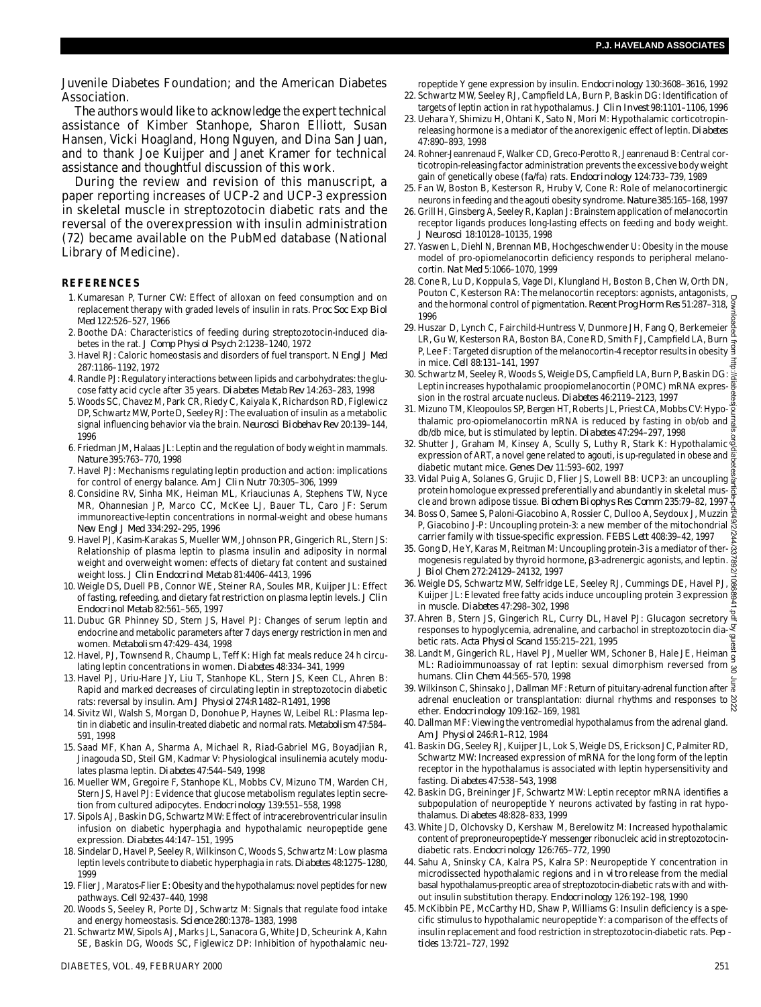Juvenile Diabetes Foundation; and the American Diabetes Association.

The authors would like to acknowledge the expert technical assistance of Kimber Stanhope, Sharon Elliott, Susan Hansen, Vicki Hoagland, Hong Nguyen, and Dina San Juan, and to thank Joe Kuijper and Janet Kramer for technical assistance and thoughtful discussion of this work.

During the review and revision of this manuscript, a paper reporting increases of UCP-2 and UCP-3 expression in skeletal muscle in streptozotocin diabetic rats and the reversal of the overexpression with insulin administration (72) became available on the PubMed database (National Library of Medicine).

## **R E F E R E N C E S**

- 1 .Kumaresan P, Turner CW: Effect of alloxan on feed consumption and on replacement therapy with graded levels of insulin in rats. *Proc Soc Exp Biol M e d* 122:526–527, 1966
- 2 . Boothe DA: Characteristics of feeding during streptozotocin-induced diabetes in the rat. *J Comp Physiol Psych* 2:1238–1240, 1972
- 3 . Havel RJ: Caloric homeostasis and disorders of fuel transport. *N Engl J Med* 287:1186–1192, 1972
- 4 . Randle PJ: Regulatory interactions between lipids and carbohydrates: the glucose fatty acid cycle after 35 years. *Diabetes Metab Rev* 14:263–283, 1998
- 5 . Woods SC, Chavez M, Park CR, Riedy C, Kaiyala K, Richardson RD, Figlewicz DP, Schwartz MW, Porte D, Seeley RJ: The evaluation of insulin as a metabolic signal influencing behavior via the brain. Neurosci Biobehav Rev 20:139-144, 1996
- 6 . Friedman JM, Halaas JL: Leptin and the regulation of body weight in mammals. *N a t u r e* 395:763–770, 1998
- 7 . Havel PJ: Mechanisms regulating leptin production and action: implications for control of energy balance. *Am J Clin Nutr* 70:305–306, 1999
- 8 .Considine RV, Sinha MK, Heiman ML, Kriauciunas A, Stephens TW, Nyce MR, Ohannesian JP, Marco CC, McKee LJ, Bauer TL, Caro JF: Serum immunoreactive-leptin concentrations in normal-weight and obese humans *New Engl J Med* 334:292–295, 1996
- 9 . Havel PJ, Kasim-Karakas S, Mueller WM, Johnson PR, Gingerich RL, Stern JS: Relationship of plasma leptin to plasma insulin and adiposity in normal weight and overweight women: effects of dietary fat content and sustained weight loss. *J Clin Endocrinol Metab* 81:4406–4413, 1996
- 10. Weigle DS, Duell PB, Connor WE, Steiner RA, Soules MR, Kuijper JL: Effect of fasting, refeeding, and dietary fat restriction on plasma leptin levels. *J Clin Endocrinol Metab* 82:561–565, 1997
- 11. Dubuc GR Phinney SD, Stern JS, Havel PJ: Changes of serum leptin and endocrine and metabolic parameters after 7 days energy restriction in men and women. Metabolism 47:429-434, 1998
- 12. Havel, PJ, Townsend R, Chaump L, Teff K: High fat meals reduce 24 h circulating leptin concentrations in women. *Diabetes* 48:334–341, 1999
- 13. Havel PJ, Uriu-Hare JY, Liu T, Stanhope KL, Stern JS, Keen CL, Ahren B: Rapid and marked decreases of circulating leptin in streptozotocin diabetic rats: reversal by insulin. *Am J Physiol* 274:R1482–R1491, 1998
- 14. Sivitz WI, Walsh S, Morgan D, Donohue P, Haynes W, Leibel RL: Plasma leptin in diabetic and insulin-treated diabetic and normal rats. Metabolism 47:584-591, 1998
- 15. Saad MF, Khan A, Sharma A, Michael R, Riad-Gabriel MG, Boyadjian R, Jinagouda SD, Steil GM, Kadmar V: Physiological insulinemia acutely modulates plasma leptin. Diabetes 47:544-549, 1998
- 16. Mueller WM, Gregoire F, Stanhope KL, Mobbs CV, Mizuno TM, Warden CH, Stern JS, Havel PJ: Evidence that glucose metabolism regulates leptin secretion from cultured adipocytes. *Endocrinology* 139:551–558, 1998
- 17. Sipols AJ, Baskin DG, Schwartz MW: Effect of intracerebroventricular insulin infusion on diabetic hyperphagia and hypothalamic neuropeptide gene expression. Diabetes 44:147-151, 1995
- 18. Sindelar D, Havel P, Seeley R, Wilkinson C, Woods S, Schwartz M: Low plasma leptin levels contribute to diabetic hyperphagia in rats. Diabetes 48:1275-1280, 1999
- 19. Flier J, Maratos-Flier E: Obesity and the hypothalamus: novel peptides for new pathways. *Cell* 92:437–440, 1998
- 20. Woods S, Seeley R, Porte DJ, Schwartz M: Signals that regulate food intake and energy homeostasis. Science 280:1378-1383, 1998
- . Schwartz MW, Sipols AJ, Marks JL, Sanacora G, White JD, Scheurink A, Kahn SE, Baskin DG, Woods SC, Figlewicz DP: Inhibition of hypothalamic neu-

ropeptide Y gene expression by insulin. *Endocrinology* 130:3608–3616, 1992 22. Schwartz MW, Seeley RJ, Campfield LA, Burn P, Baskin DG: Identification of

- targets of leptin action in rat hypothalamus. *J Clin Invest* 98:1101–1106, 1996 23. Uehara Y, Shimizu H, Ohtani K, Sato N, Mori M: Hypothalamic corticotropinreleasing hormone is a mediator of the anorexigenic effect of leptin. Diabetes 47:890–893, 1998
- 24. Rohner-Jeanrenaud F, Walker CD, Greco-Perotto R, Jeanrenaud B: Central corticotropin-releasing factor administration prevents the excessive body weight gain of genetically obese (fa/fa) rats. *Endocrinology* 124:733-739, 1989
- 25. Fan W, Boston B, Kesterson R, Hruby V, Cone R: Role of melanocortinergic neurons in feeding and the agouti obesity syndrome. Nature 385:165-168, 1997
- 26. Grill H, Ginsberg A, Seeley R, Kaplan J: Brainstem application of melanocortin receptor ligands produces long-lasting effects on feeding and body weight. *J N e u r o s c i* 18:10128–10135, 1998
- 27. Yaswen L, Diehl N, Brennan MB, Hochgeschwender U: Obesity in the mouse model of pro-opiomelanocortin deficiency responds to peripheral melanocortin. *Nat Med* 5:1066–1070, 1999
- 28. Cone R, Lu D, Koppula S, Vage DI, Klungland H, Boston B, Chen W, Orth DN, Pouton C, Kesterson RA: The melanocortin receptors: agonists, antagonists, and the hormonal control of pigmentation. Recent Prog Horm Res 51:287–318, §<br>2 and the hormonal control of pigmentation. Recent Prog Horm Res 51:287–318, 1996
- 29. Huszar D, Lynch C, Fairchild-Huntress V, Dunmore JH, Fang Q, Berkemeier & LR, Gu W, Kesterson RA, Boston BA, Cone RD, Smith FJ, Campfield LA, Burn P, Lee F: Targeted disruption of the melanocortin-4 receptor results in obesity in mice. *Cell* 88:131–141, 1997
- 3 0 . Schwartz M, Seeley R, Woods S, Weigle DS, Campfield LA, Burn P, Baskin DG: Leptin increases hypothalamic proopiomelanocortin (POMC) mRNA expression in the rostral arcuate nucleus. Diabetes 46:2119-2123, 1997
- 31. Mizuno TM, Kleopoulos SP, Bergen HT, Roberts JL, Priest CA, Mobbs CV: Hypothalamic pro-opiomelanocortin mRNA is reduced by fasting in ob/ob and  $\frac{3}{8}$ db/db mice, but is stimulated by leptin. Diabetes 47:294-297, 1998
- 32. Shutter J, Graham M, Kinsey A, Scully S, Luthy R, Stark K: Hypothalamic expression of ART, a novel gene related to agouti, is up-regulated in obese and diabetic mutant mice. *Genes Dev* 11:593–602, 1997
- 33. Vidal Puig A, Solanes G, Grujic D, Flier JS, Lowell BB: UCP3: an uncoupling  $\frac{8}{9}$ protein homologue expressed preferentially and abundantly in skeletal muscle and brown adipose tissue. *Biochem Biophys Res Comm* 235:79–82, 1997
- 3 4 . Boss O, Samee S, Paloni-Giacobino A, Rossier C, Dulloo A, Seydoux J, Muzzin P, Giacobino J-P: Uncoupling protein-3: a new member of the mitochondrial carrier family with tissue-specific expression. *FEBS Lett* 408:39–42, 1997
- 35. Gong D, He Y, Karas M, Reitman M: Uncoupling protein-3 is a mediator of thermogenesis regulated by thyroid hormone, 3-adrenergic agonists, and leptin. *J Biol Chem* 272:24129–24132, 1997
- 36. Weigle DS, Schwartz MW, Selfridge LE, Seeley RJ, Cummings DE, Havel PJ,  $\frac{1}{8}$ Kuijper JL: Elevated free fatty acids induce uncoupling protein 3 expression  $\frac{8}{5}$ in muscle. *Diabetes* 47:298–302, 1998
- 37. Ahren B, Stern JS, Gingerich RL, Curry DL, Havel PJ: Glucagon secretory responses to hypoglycemia, adrenaline, and carbachol in streptozotocin diabetic rats. *Acta Physiol Scand* 155:215–221, 1995
- Bette Fars. Acta Thysion Scand 155.215–221, 1993<br>38. Landt M, Gingerich RL, Havel PJ, Mueller WM, Schoner B, Hale JE, Heiman ML: Radioimmunoassay of rat leptin: sexual dimorphism reversed from humans. *Clin Chem* 44:565–570, 1998
- 39. Wilkinson C, Shinsako J, Dallman MF: Return of pituitary-adrenal function after  $\frac{5}{8}$ adrenal enucleation or transplantation: diurnal rhythms and responses to  $\frac{8}{6}$ ether. Endocrinology 109:162-169, 1981 Downloaded from http://diabetesjournals.org/diabetes/article-pdf/49/2/244/337892/10868941.pdf by guest on 30 June 2022
- 40. Dallman MF: Viewing the ventromedial hypothalamus from the adrenal gland. *Am J Physiol* 246:R1–R12, 1984
- 4 1 . Baskin DG, Seeley RJ, Kuijper JL, Lok S, Weigle DS, Erickson JC, Palmiter RD, Schwartz MW: Increased expression of mRNA for the long form of the leptin receptor in the hypothalamus is associated with leptin hypersensitivity and fasting. Diabetes 47:538-543, 1998
- 42. Baskin DG, Breininger JF, Schwartz MW: Leptin receptor mRNA identifies a subpopulation of neuropeptide Y neurons activated by fasting in rat hypothalamus. *Diabetes* 48:828–833, 1999
- 43. White JD, Olchovsky D, Kershaw M, Berelowitz M: Increased hypothalamic content of preproneuropeptide-Y messenger ribonucleic acid in streptozotocindiabetic rats. *Endocrinology* 126:765–772, 1990
- 44. Sahu A, Sninsky CA, Kalra PS, Kalra SP: Neuropeptide Y concentration in microdissected hypothalamic regions and *in vitro* release from the medial basal hypothalamus-preoptic area of streptozotocin-diabetic rats with and without insulin substitution therapy. Endocrinology 126:192-198, 1990
- 45. McKibbin PE, McCarthy HD, Shaw P, Williams G: Insulin deficiency is a specific stimulus to hypothalamic neuropeptide Y: a comparison of the effects of insulin replacement and food restriction in streptozotocin-diabetic rats. Pep *tides* 13:721–727, 1992